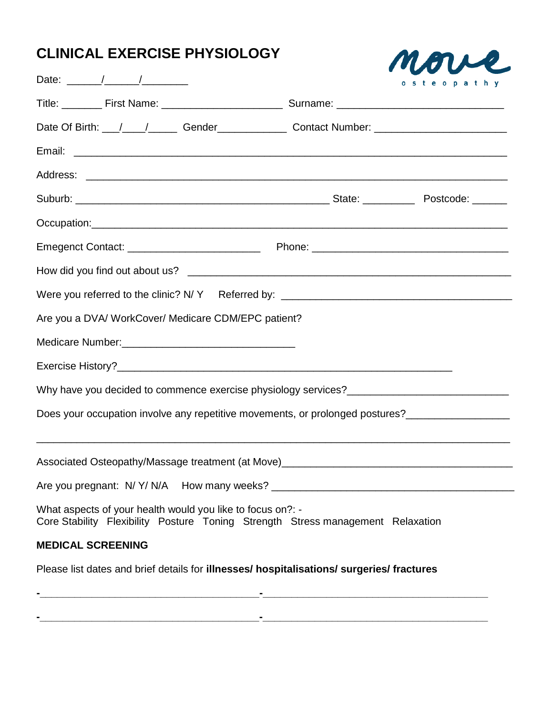# **CLINICAL EXERCISE PHYSIOLOGY**



| Date: $\frac{1}{\sqrt{1-\frac{1}{2}}}\frac{1}{\sqrt{1-\frac{1}{2}}}\frac{1}{\sqrt{1-\frac{1}{2}}}\frac{1}{\sqrt{1-\frac{1}{2}}}\frac{1}{\sqrt{1-\frac{1}{2}}}\frac{1}{\sqrt{1-\frac{1}{2}}}\frac{1}{\sqrt{1-\frac{1}{2}}}\frac{1}{\sqrt{1-\frac{1}{2}}}\frac{1}{\sqrt{1-\frac{1}{2}}}\frac{1}{\sqrt{1-\frac{1}{2}}}\frac{1}{\sqrt{1-\frac{1}{2}}}\frac{1}{\sqrt{1-\frac{1}{2}}}\frac{1}{\sqrt{1-\frac{1}{2}}}\frac{1}{\$ | osteopathy |
|--------------------------------------------------------------------------------------------------------------------------------------------------------------------------------------------------------------------------------------------------------------------------------------------------------------------------------------------------------------------------------------------------------------------------|------------|
|                                                                                                                                                                                                                                                                                                                                                                                                                          |            |
|                                                                                                                                                                                                                                                                                                                                                                                                                          |            |
|                                                                                                                                                                                                                                                                                                                                                                                                                          |            |
|                                                                                                                                                                                                                                                                                                                                                                                                                          |            |
|                                                                                                                                                                                                                                                                                                                                                                                                                          |            |
|                                                                                                                                                                                                                                                                                                                                                                                                                          |            |
|                                                                                                                                                                                                                                                                                                                                                                                                                          |            |
|                                                                                                                                                                                                                                                                                                                                                                                                                          |            |
|                                                                                                                                                                                                                                                                                                                                                                                                                          |            |
| Are you a DVA/ WorkCover/ Medicare CDM/EPC patient?                                                                                                                                                                                                                                                                                                                                                                      |            |
|                                                                                                                                                                                                                                                                                                                                                                                                                          |            |
|                                                                                                                                                                                                                                                                                                                                                                                                                          |            |
|                                                                                                                                                                                                                                                                                                                                                                                                                          |            |
| Does your occupation involve any repetitive movements, or prolonged postures?______________________                                                                                                                                                                                                                                                                                                                      |            |
| Associated Osteopathy/Massage treatment (at Move)________________________________                                                                                                                                                                                                                                                                                                                                        |            |
|                                                                                                                                                                                                                                                                                                                                                                                                                          |            |
| What aspects of your health would you like to focus on?: -<br>Core Stability Flexibility Posture Toning Strength Stress management Relaxation                                                                                                                                                                                                                                                                            |            |
| <b>MEDICAL SCREENING</b>                                                                                                                                                                                                                                                                                                                                                                                                 |            |
| Please list dates and brief details for illnesses/ hospitalisations/ surgeries/ fractures                                                                                                                                                                                                                                                                                                                                |            |
|                                                                                                                                                                                                                                                                                                                                                                                                                          |            |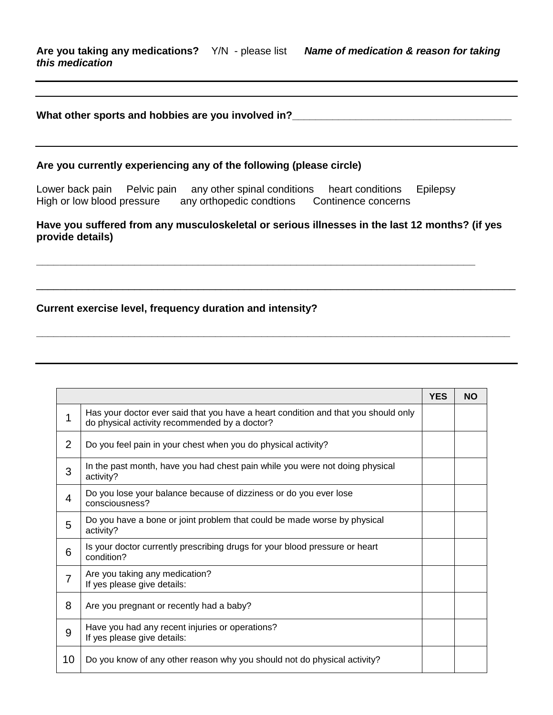## **What other sports and hobbies are you involved in?\_\_\_\_\_\_\_\_\_\_\_\_\_\_\_\_\_\_\_\_\_\_\_\_\_\_\_\_\_\_\_\_\_\_\_\_\_\_**

#### **Are you currently experiencing any of the following (please circle)**

Lower back pain Pelvic pain any other spinal conditions heart conditions Epilepsy High or low blood pressure any orthopedic condtions Continence concerns

## **Have you suffered from any musculoskeletal or serious illnesses in the last 12 months? (if yes provide details)**

\_\_\_\_\_\_\_\_\_\_\_\_\_\_\_\_\_\_\_\_\_\_\_\_\_\_\_\_\_\_\_\_\_\_\_\_\_\_\_\_\_\_\_\_\_\_\_\_\_\_\_\_\_\_\_\_\_\_\_\_\_\_\_\_\_\_\_\_\_\_\_\_\_\_\_\_\_\_\_\_\_\_\_

**\_\_\_\_\_\_\_\_\_\_\_\_\_\_\_\_\_\_\_\_\_\_\_\_\_\_\_\_\_\_\_\_\_\_\_\_\_\_\_\_\_\_\_\_\_\_\_\_\_\_\_\_\_\_\_\_\_\_\_\_\_\_\_\_\_\_\_\_\_\_\_\_\_\_\_\_\_\_\_\_\_\_**

**\_\_\_\_\_\_\_\_\_\_\_\_\_\_\_\_\_\_\_\_\_\_\_\_\_\_\_\_\_\_\_\_\_\_\_\_\_\_\_\_\_\_\_\_\_\_\_\_\_\_\_\_\_\_\_\_\_\_\_\_\_\_\_\_\_\_\_\_\_\_\_\_\_\_\_\_**

## **Current exercise level, frequency duration and intensity?**

|    |                                                                                                                                     | <b>YES</b> | <b>NO</b> |
|----|-------------------------------------------------------------------------------------------------------------------------------------|------------|-----------|
| 1  | Has your doctor ever said that you have a heart condition and that you should only<br>do physical activity recommended by a doctor? |            |           |
| 2  | Do you feel pain in your chest when you do physical activity?                                                                       |            |           |
| 3  | In the past month, have you had chest pain while you were not doing physical<br>activity?                                           |            |           |
| 4  | Do you lose your balance because of dizziness or do you ever lose<br>consciousness?                                                 |            |           |
| 5  | Do you have a bone or joint problem that could be made worse by physical<br>activity?                                               |            |           |
| 6  | Is your doctor currently prescribing drugs for your blood pressure or heart<br>condition?                                           |            |           |
| 7  | Are you taking any medication?<br>If yes please give details:                                                                       |            |           |
| 8  | Are you pregnant or recently had a baby?                                                                                            |            |           |
| 9  | Have you had any recent injuries or operations?<br>If yes please give details:                                                      |            |           |
| 10 | Do you know of any other reason why you should not do physical activity?                                                            |            |           |